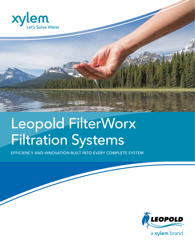



# Leopold FilterWorx Filtration Systems

EFFICIENCY AND INNOVATION BUILT INTO EVERY COMPLETE SYSTEM

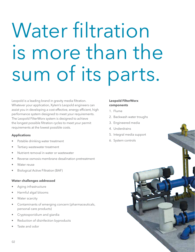# Water filtration is more than the sum of its parts.

Leopold is a leading brand in gravity media filtration. Whatever your application, Xylem's Leopold engineers can assist you in developing a cost effective, energy efficient, high performance system designed to meet your requirements. The Leopold FilterWorx system is designed to achieve the longest possible filtration cycles to meet your permit requirements at the lowest possible costs.

## **Applications**

- Potable drinking water treatment
- Tertiary wastewater treatment
- Nutrient removal in water or wastewater
- Reverse osmosis membrane desalination pretreatment
- Water reuse
- Biological Active Filtration (BAF)

## **Water challenges addressed**

- Aging infrastructure
- Harmful algal blooms
- Water scarcity
- Contaminants of emerging concern (pharmaceuticals, personal care products)
- Cryptosporidium and giardia
- Reduction of disinfection byproducts
- Taste and odor

# **Leopold FilterWorx components**

- 1. Flume
- 2. Backwash water troughs
- 3. Engineered media
- 4. Underdrains
- 5. Integral media support
- 6. System controls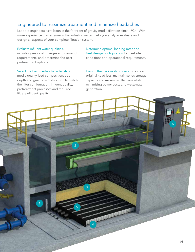# Engineered to maximize treatment and minimize headaches

Leopold engineers have been at the forefront of gravity media filtration since 1924. With more experience than anyone in the industry, we can help you analyze, evaluate and design all aspects of your complete filtration system.

#### Evaluate influent water qualities,

including seasonal changes and demand requirements, and determine the best pretreatment options.

Select the best media characteristics,

media quality, bed composition, bed depth and grain size distribution to match the filter configuration, influent quality, pretreatment processes and required filtrate effluent quality.

Determine optimal loading rates and best design configuration to meet site conditions and operational requirements.

Design the backwash process to restore original head loss, maintain solids storage capacity and maximize filter runs while minimizing power costs and wastewater generation.

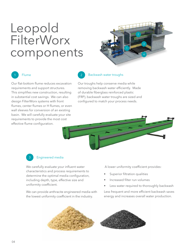# Leopold **FilterWorx** components

![](_page_3_Picture_1.jpeg)

# **Flume**

Our flat-bottom flume reduces excavation requirements and support structures. This simplifies new construction, resulting in substantial cost savings. We can also design FilterWorx systems with front flumes, center flumes or H flumes, or even wall sleeves for conversion of an existing basin. We will carefully evaluate your site requirements to provide the most cost effective flume configuration.

# Backwash water troughs

Our troughs help conserve media while removing backwash water efficiently. Made of durable fiberglass reinforced plastic (FRP), backwash water troughs are sized and configured to match your process needs.

![](_page_3_Picture_6.jpeg)

# 3

## Engineered media

We carefully evaluate your influent water characteristics and process requirements to determine the optimal media configuration, including depth, type, effective size and uniformity coefficient.

We can provide anthracite engineered media with the lowest uniformity coefficient in the industry.

A lower uniformity coefficient provides:

- Superior filtration qualities
- Increased filter run volumes
- Less water required to thoroughly backwash

Less frequent and more efficient backwash saves energy and increases overall water production.

![](_page_3_Picture_16.jpeg)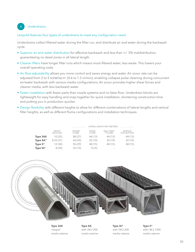# 4 Underdrains

## Leopold features four types of underdrains to meet any configuration need.

Underdrains collect filtered water during the filter run, and distribute air and water during the backwash cycle.

- Superior air and water distribution for effective backwash and less than +/- 5% maldistribution, guaranteeing no dead zones in all lateral length.
- Cleaner filters have longer filter runs which means more filtered water, less waste. This lowers your overall operating costs.
- Air flow adjustability allows you more control and saves energy and water. Air scour rate can be adjusted from 2 to 5 scFM/sQ.FT. (0.6 to 1.5 m/min), enabling collapse pulse cleaning during concurrent air/water backwash with various media configurations. Air scour provides higher shear forces and cleaner media, with less backwash water.
- Faster installation with fewer parts than nozzle systems and no false floor. Underdrain blocks are lightweight for easy handling and snap together for quick installation, shortening construction time and putting you in production quicker.
- Design flexibility with different heights to allow for different combinations of lateral lengths and vertical filter heights, as well as different flume configurations and installation techniques.

|                   |                            |                               | LATERAL LENGTH FEET (METERS) |                              |                                      |
|-------------------|----------------------------|-------------------------------|------------------------------|------------------------------|--------------------------------------|
|                   | <b>HFIGHT</b><br>INCH (CM) | <b>CENTER</b><br><b>FLUME</b> | <b>FRONT</b><br><b>FLUME</b> | WALL FFFD/<br><b>H FLUME</b> | <b>LEOPOLD</b><br><b>FLAT BOTTOM</b> |
| <b>Type 360</b>   | 10(25)                     | 88 (27)                       | 44 (13)                      | 44 (13)                      | 44 (13)                              |
| Type $XA^m$       | 8.25(21)                   | 64 (20)                       | 32(10)                       | 32(10)                       | 32(10)                               |
| Type $S^*$        | 12(30)                     | 96 (29)                       | 48 (15)                      | 48 (15)                      | 48 (15)                              |
| Type $SL^{\circ}$ | 8(20)                      | 32(10)                        | 16 (5)                       |                              |                                      |

![](_page_4_Picture_9.jpeg)

**Type 360** integral media retainer **Type XA** with I.M.S 200 media retainer **Type SL®** with I.M.S 200 media retainer **Type S®** with I.M.S 1000 media retainer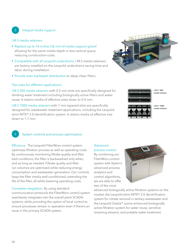# 5 Integral media support

#### I.M.S media retainers

- Replace up to 14 inches (36 cm) of media support gravel allowing for the same media depth in less vertical space, reducing construction costs.
- Compatible with all Leopold underdrains, I.M.S media retainers are factory installed on the Leopold underdrains saving time and labor during installation.
- Provide even backwash distribution to deep clean filters.

#### Two sizes for different applications

I.M.S 200 media retainers with 0.2 mm slots are specifically designed for drinking water treatment including biologically active filters and water reuse. It retains media of effective sizes down to 0.4 mm.

I.M.S 1000 media retainers with 1 mm tapered slots are specifically designed for wastewater treatment applications, including the Leopold elimi-NITE® 2.0 denitrification system. It retains media of effective size down to 1.7 mm.

![](_page_5_Picture_8.jpeg)

![](_page_5_Picture_9.jpeg)

**media retainer**

**I.M.S® 200**

![](_page_5_Picture_11.jpeg)

**I.M.S® 1000** media retaine

## System controls and process optimization

Efficiency: The Leopold FilterWorx control system optimizes filtration process as well as operating costs. By continuously monitoring filtrate quality and filter bed conditions, the filter is backwashed only when, and as long as needed. Filtrate quality and filter run volumes are optimized while reducing energy consumption and wastewater generation. Our controls keep the filter media well-conditioned, extending the life of the filter, all while lowering operating costs.

Complete integration: By using standard communication protocols the FilterWorx control system seamlessly integrates into the overall plant SCADA systems, while providing the option of local control to ensure processes remain in operation even if there's an issue in the primary SCADA system.

# Advanced

process control: By combining our FilterWorx control system with Xylem's advanced process analytics and control algorithms, we are able to offer two of the most

![](_page_5_Picture_19.jpeg)

advanced biologically active filtration systems on the market, the Leopold elimi-NITE® 2.0 denitrification system for nitrate removal in tertiary wastewater and the Leopold Oxelia® ozone enhanced biologically active filtration system for water reuse, sensitive receiving streams, and potable water treatment.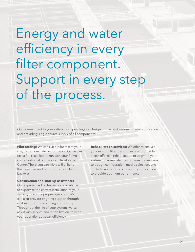Energy and water efficiency in every filter component. Support in every step of the process.

Our commitment to your satisfaction goes beyond designing the best system for your application and providing single source supply of all components.

**Pilot testing:** We can run a pilot test at your site, to demonstrate performance. Or we can test a full-scale lateral run with your flume configuration at our Product Development Center. There you can witness first hand the head loss and flow distribution during backwash.

#### **Construction and start-up assistance:**

Our experienced technicians are available to supervise the correct installation of your system, to ensure proper operation. We can also provide ongoing support through calibration, commissioning and start-up. Throughout the life of your system, we can assist with service and rehabilitation, to keep your operations at peak efficiency.

**Rehabilitation services:** We offer to analyze your existing filter performance and provide a cost effective rehabilitation to upgrade your system to current standards. From underdrains to trough configuration, media selection, and controls, we can custom design your solution to provide optimum performance.